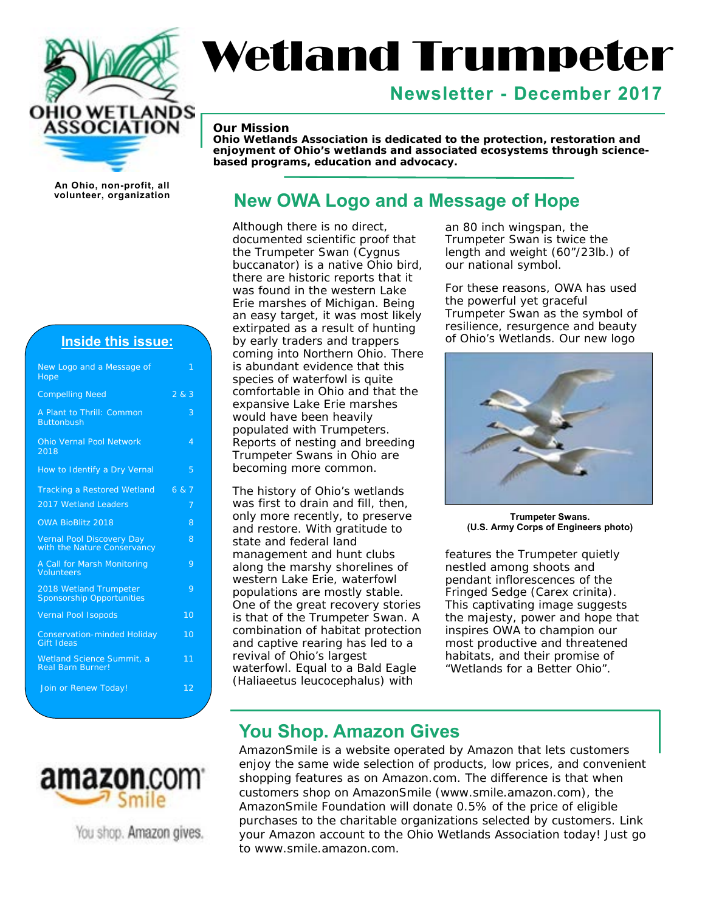

# Wetland Trumpeter

# **Newsletter - December 2017**

#### *Our Mission*

*Ohio Wetlands Association is dedicated to the protection, restoration and enjoyment of Ohio's wetlands and associated ecosystems through sciencebased programs, education and advocacy.* 

**An Ohio, non-profit, all** 

## **Inside this issue:**

| New Logo and a Message of<br>Hope                               | 1               |
|-----------------------------------------------------------------|-----------------|
| <b>Compelling Need</b>                                          | 2 & 3           |
| A Plant to Thrill: Common<br><b>Buttonbush</b>                  | 3               |
| <b>Ohio Vernal Pool Network</b><br>2018                         | 4               |
| How to Identify a Dry Vernal                                    | 5               |
| Tracking a Restored Wetland 6 & 7                               |                 |
| 2017 Wetland Leaders                                            | 7               |
| <b>OWA BioBlitz 2018</b>                                        | 8               |
| <b>Vernal Pool Discovery Day</b><br>with the Nature Conservancy | 8               |
| A Call for Marsh Monitoring<br><b>Volunteers</b>                | 9               |
| 2018 Wetland Trumpeter<br><b>Sponsorship Opportunities</b>      | 9               |
| <b>Vernal Pool Isopods</b>                                      | $\overline{10}$ |
| <b>Conservation-minded Holiday</b><br><b>Gift Ideas</b>         | $\overline{10}$ |
| <b>Wetland Science Summit, a</b><br><b>Real Barn Burner!</b>    | 11              |
| Join or Renew Today!                                            | 12              |
|                                                                 |                 |



You shop. Amazon gives.

# **New OWA Logo and a Message of Hope**

Although there is no direct, documented scientific proof that the Trumpeter Swan (*Cygnus buccanator*) is a native Ohio bird, there are historic reports that it was found in the western Lake Erie marshes of Michigan. Being an easy target, it was most likely extirpated as a result of hunting by early traders and trappers coming into Northern Ohio. There is abundant evidence that this species of waterfowl is quite comfortable in Ohio and that the expansive Lake Erie marshes would have been heavily populated with Trumpeters. Reports of nesting and breeding Trumpeter Swans in Ohio are becoming more common.

The history of Ohio's wetlands was first to drain and fill, then, only more recently, to preserve and restore. With gratitude to state and federal land management and hunt clubs along the marshy shorelines of western Lake Erie, waterfowl populations are mostly stable. One of the great recovery stories is that of the Trumpeter Swan. A combination of habitat protection and captive rearing has led to a revival of Ohio's largest waterfowl. Equal to a Bald Eagle (*Haliaeetus leucocephalus*) with

an 80 inch wingspan, the Trumpeter Swan is twice the length and weight (60"/23lb.) of our national symbol.

For these reasons, OWA has used the powerful yet graceful Trumpeter Swan as the symbol of resilience, resurgence and beauty of Ohio's Wetlands. Our new logo



**Trumpeter Swans. (U.S. Army Corps of Engineers photo)** 

features the Trumpeter quietly nestled among shoots and pendant inflorescences of the Fringed Sedge (*Carex crinita*). This captivating image suggests the majesty, power and hope that inspires OWA to champion our most productive and threatened habitats, and their promise of "Wetlands for a Better Ohio".

# **You Shop. Amazon Gives**

AmazonSmile is a website operated by Amazon that lets customers enjoy the same wide selection of products, low prices, and convenient shopping features as on Amazon.com. The difference is that when customers shop on AmazonSmile ([www.smile.amazon.com\), th](http://www.smile.amazon.com)e AmazonSmile Foundation will donate 0.5% of the price of eligible purchases to the charitable organizations selected by customers. Link your Amazon account to the Ohio Wetlands Association today! Just go to [www.smile.amazon.com.](http://www.smile.amazon.com)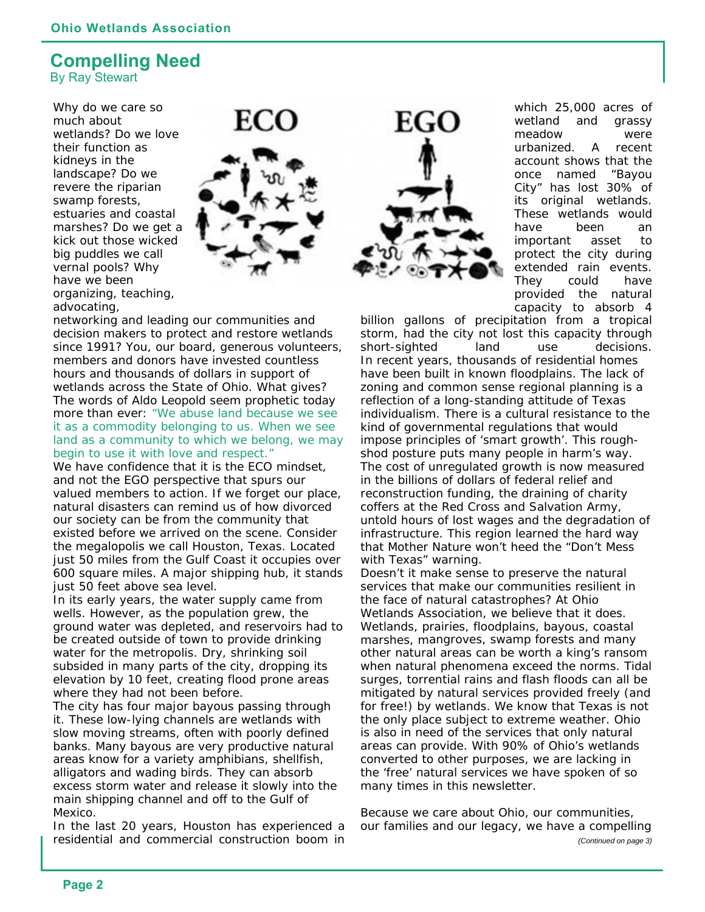## **Compelling Need**  By Ray Stewart

Why do we care so much about wetlands? Do we love their function as kidneys in the landscape? Do we revere the riparian swamp forests, estuaries and coastal marshes? Do we get a kick out those wicked big puddles we call vernal pools? Why have we been organizing, teaching, advocating,



networking and leading our communities and decision makers to protect and restore wetlands since 1991? You, our board, generous volunteers, members and donors have invested countless hours and thousands of dollars in support of wetlands across the State of Ohio. What gives? The words of Aldo Leopold seem prophetic today more than ever: *"We abuse land because we see it as a commodity belonging to us. When we see land as a community to which we belong, we may begin to use it with love and respect."* 

We have confidence that it is the ECO mindset. and not the EGO perspective that spurs our valued members to action. If we forget our place, natural disasters can remind us of how divorced our society can be from the community that existed before we arrived on the scene. Consider the megalopolis we call Houston, Texas. Located just 50 miles from the Gulf Coast it occupies over 600 square miles. A major shipping hub, it stands just 50 feet above sea level.

In its early years, the water supply came from wells. However, as the population grew, the ground water was depleted, and reservoirs had to be created outside of town to provide drinking water for the metropolis. Dry, shrinking soil subsided in many parts of the city, dropping its elevation by 10 feet, creating flood prone areas where they had not been before.

The city has four major bayous passing through it. These low-lying channels are wetlands with slow moving streams, often with poorly defined banks. Many bayous are very productive natural areas know for a variety amphibians, shellfish, alligators and wading birds. They can absorb excess storm water and release it slowly into the main shipping channel and off to the Gulf of Mexico.

In the last 20 years, Houston has experienced a residential and commercial construction boom in



which 25,000 acres of wetland and grassy meadow were urbanized. A recent account shows that the once named "Bayou City" has lost 30% of its original wetlands. These wetlands would have been an important asset to protect the city during extended rain events. They could have provided the natural capacity to absorb 4

billion gallons of precipitation from a tropical storm, had the city not lost this capacity through short-sighted land use decisions. In recent years, thousands of residential homes have been built in known floodplains. The lack of zoning and common sense regional planning is a reflection of a long-standing attitude of Texas individualism. There is a cultural resistance to the kind of governmental regulations that would impose principles of 'smart growth'. This roughshod posture puts many people in harm's way. The cost of unregulated growth is now measured in the billions of dollars of federal relief and reconstruction funding, the draining of charity coffers at the Red Cross and Salvation Army, untold hours of lost wages and the degradation of infrastructure. This region learned the hard way that Mother Nature won't heed the "Don't Mess with Texas" warning.

Doesn't it make sense to preserve the natural services that make our communities resilient in the face of natural catastrophes? At Ohio Wetlands Association, we believe that it does. Wetlands, prairies, floodplains, bayous, coastal marshes, mangroves, swamp forests and many other natural areas can be worth a king's ransom when natural phenomena exceed the norms. Tidal surges, torrential rains and flash floods can all be mitigated by natural services provided freely (and for free!) by wetlands. We know that Texas is not the only place subject to extreme weather. Ohio is also in need of the services that only natural areas can provide. With 90% of Ohio's wetlands converted to other purposes, we are lacking in the 'free' natural services we have spoken of so many times in this newsletter.

Because we care about Ohio, our communities, our families and our legacy, we have a compelling *(Continued on page 3)*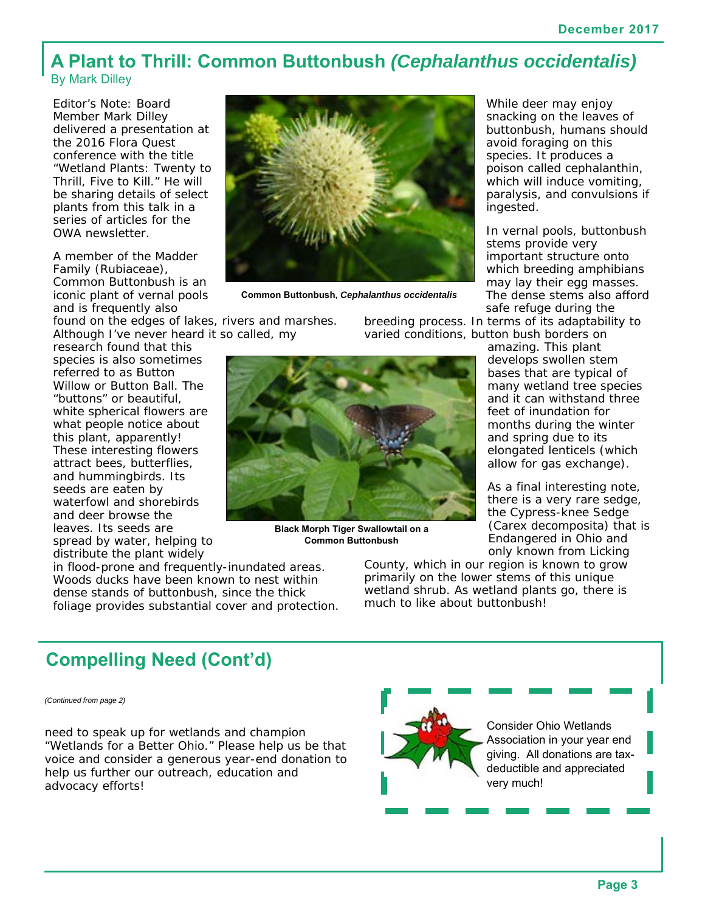# **A Plant to Thrill: Common Buttonbush** *(Cephalanthus occidentalis)*  By Mark Dilley

Editor's Note: Board Member Mark Dilley delivered a presentation at the 2016 Flora Quest conference with the title "Wetland Plants: Twenty to Thrill, Five to Kill." He will be sharing details of select plants from this talk in a series of articles for the OWA newsletter.

A member of the Madder Family (Rubiaceae), Common Buttonbush is an iconic plant of vernal pools and is frequently also

found on the edges of lakes, rivers and marshes. Although I've never heard it so called, my

research found that this species is also sometimes referred to as Button Willow or Button Ball. The "buttons" or beautiful, white spherical flowers are what people notice about this plant, apparently! These interesting flowers attract bees, butterflies, and hummingbirds. Its seeds are eaten by waterfowl and shorebirds and deer browse the leaves. Its seeds are spread by water, helping to distribute the plant widely

in flood-prone and frequently-inundated areas. Woods ducks have been known to nest within dense stands of buttonbush, since the thick foliage provides substantial cover and protection.



**Common Buttonbush,** *Cephalanthus occidentalis* 

breeding process. In terms of its adaptability to varied conditions, button bush borders on



**Black Morph Tiger Swallowtail on a Common Buttonbush**

While deer may enjoy snacking on the leaves of buttonbush, humans should avoid foraging on this species. It produces a poison called cephalanthin, which will induce vomiting, paralysis, and convulsions if ingested.

In vernal pools, buttonbush stems provide very important structure onto which breeding amphibians may lay their egg masses. The dense stems also afford safe refuge during the

amazing. This plant develops swollen stem bases that are typical of many wetland tree species and it can withstand three feet of inundation for months during the winter and spring due to its elongated lenticels (which allow for gas exchange).

As a final interesting note, there is a very rare sedge, the Cypress-knee Sedge (*Carex decomposita*) that is Endangered in Ohio and only known from Licking

County, which in our region is known to grow primarily on the lower stems of this unique wetland shrub. As wetland plants go, there is much to like about buttonbush!

# **Compelling Need (Cont'd)**

*(Continued from page 2)* 

need to speak up for wetlands and champion "Wetlands for a Better Ohio." Please help us be that voice and consider a generous year-end donation to help us further our outreach, education and advocacy efforts!



Consider Ohio Wetlands Association in your year end giving. All donations are taxdeductible and appreciated very much!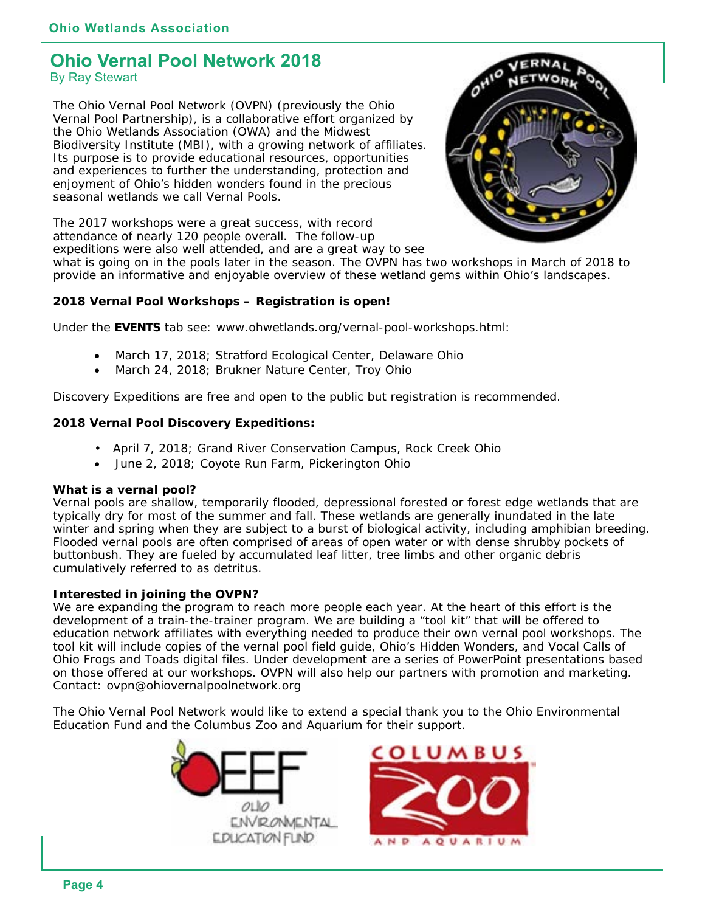## **Ohio Vernal Pool Network 2018**  By Ray Stewart

The Ohio Vernal Pool Network (OVPN) (previously the Ohio Vernal Pool Partnership), is a collaborative effort organized by the Ohio Wetlands Association (OWA) and the Midwest Biodiversity Institute (MBI), with a growing network of affiliates. Its purpose is to provide educational resources, opportunities and experiences to further the understanding, protection and enjoyment of Ohio's hidden wonders found in the precious seasonal wetlands we call Vernal Pools.



The 2017 workshops were a great success, with record attendance of nearly 120 people overall. The follow-up expeditions were also well attended, and are a great way to see

what is going on in the pools later in the season. The OVPN has two workshops in March of 2018 to provide an informative and enjoyable overview of these wetland gems within Ohio's landscapes.

## **2018 Vernal Pool Workshops – Registration is open!**

Under the **EVENTS** tab see: [www.ohwetlands.org/vernal-pool-workshops.html:](http://www.ohwetlands.org/vernal-pool-workshops.html:) 

- March 17, 2018; Stratford Ecological Center, Delaware Ohio
- March 24, 2018; Brukner Nature Center, Troy Ohio

Discovery Expeditions are free and open to the public but registration is recommended.

## **2018 Vernal Pool Discovery Expeditions:**

- April 7, 2018; Grand River Conservation Campus, Rock Creek Ohio
- June 2, 2018; Coyote Run Farm, Pickerington Ohio

#### **What is a vernal pool?**

Vernal pools are shallow, temporarily flooded, depressional forested or forest edge wetlands that are typically dry for most of the summer and fall. These wetlands are generally inundated in the late winter and spring when they are subject to a burst of biological activity, including amphibian breeding. Flooded vernal pools are often comprised of areas of open water or with dense shrubby pockets of buttonbush. They are fueled by accumulated leaf litter, tree limbs and other organic debris cumulatively referred to as detritus.

## **Interested in joining the OVPN?**

We are expanding the program to reach more people each year. At the heart of this effort is the development of a train-the-trainer program. We are building a "tool kit" that will be offered to education network affiliates with everything needed to produce their own vernal pool workshops. The tool kit will include copies of the vernal pool field guide, Ohio's Hidden Wonders, and Vocal Calls of Ohio Frogs and Toads digital files. Under development are a series of PowerPoint presentations based on those offered at our workshops. OVPN will also help our partners with promotion and marketing. Contact: [ovpn@ohiovernalpoolnetwork.org](mailto:ovpn@ohiovernalpoolnetwork.org) 

The Ohio Vernal Pool Network would like to extend a special thank you to the Ohio Environmental Education Fund and the Columbus Zoo and Aquarium for their support.



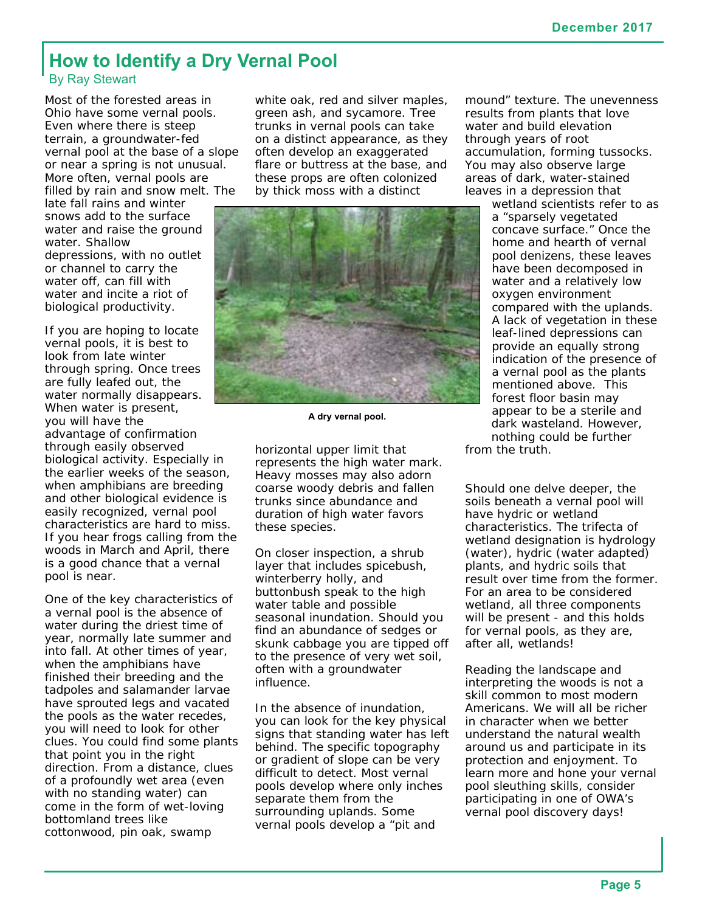## **How to Identify a Dry Vernal Pool**  By Ray Stewart

Most of the forested areas in Ohio have some vernal pools. Even where there is steep terrain, a groundwater-fed vernal pool at the base of a slope or near a spring is not unusual. More often, vernal pools are filled by rain and snow melt. The

late fall rains and winter snows add to the surface water and raise the ground water. Shallow depressions, with no outlet or channel to carry the water off, can fill with water and incite a riot of biological productivity.

If you are hoping to locate vernal pools, it is best to look from late winter through spring. Once trees are fully leafed out, the water normally disappears. When water is present, you will have the advantage of confirmation through easily observed biological activity. Especially in the earlier weeks of the season, when amphibians are breeding and other biological evidence is easily recognized, vernal pool characteristics are hard to miss. If you hear frogs calling from the woods in March and April, there is a good chance that a vernal pool is near.

One of the key characteristics of a vernal pool is the absence of water during the driest time of year, normally late summer and into fall. At other times of year, when the amphibians have finished their breeding and the tadpoles and salamander larvae have sprouted legs and vacated the pools as the water recedes, you will need to look for other clues. You could find some plants that point you in the right direction. From a distance, clues of a profoundly wet area (even with no standing water) can come in the form of wet-loving bottomland trees like cottonwood, pin oak, swamp

white oak, red and silver maples, green ash, and sycamore. Tree trunks in vernal pools can take on a distinct appearance, as they often develop an exaggerated flare or buttress at the base, and these props are often colonized by thick moss with a distinct



**A dry vernal pool.** 

horizontal upper limit that represents the high water mark. Heavy mosses may also adorn coarse woody debris and fallen trunks since abundance and duration of high water favors these species.

On closer inspection, a shrub layer that includes spicebush, winterberry holly, and buttonbush speak to the high water table and possible seasonal inundation. Should you find an abundance of sedges or skunk cabbage you are tipped off to the presence of very wet soil, often with a groundwater influence.

In the absence of inundation, you can look for the key physical signs that standing water has left behind. The specific topography or gradient of slope can be very difficult to detect. Most vernal pools develop where only inches separate them from the surrounding uplands. Some vernal pools develop a "pit and

mound" texture. The unevenness results from plants that love water and build elevation through years of root accumulation, forming tussocks. You may also observe large areas of dark, water-stained leaves in a depression that

wetland scientists refer to as a "sparsely vegetated concave surface." Once the home and hearth of vernal pool denizens, these leaves have been decomposed in water and a relatively low oxygen environment compared with the uplands. A lack of vegetation in these leaf-lined depressions can provide an equally strong indication of the presence of a vernal pool as the plants mentioned above. This forest floor basin may appear to be a sterile and dark wasteland. However, nothing could be further

from the truth.

Should one delve deeper, the soils beneath a vernal pool will have hydric or wetland characteristics. The trifecta of wetland designation is hydrology (water), hydric (water adapted) plants, and hydric soils that result over time from the former. For an area to be considered wetland, all three components will be present - and this holds for vernal pools, as they are, after all, wetlands!

Reading the landscape and interpreting the woods is not a skill common to most modern Americans. We will all be richer in character when we better understand the natural wealth around us and participate in its protection and enjoyment. To learn more and hone your vernal pool sleuthing skills, consider participating in one of OWA's vernal pool discovery days!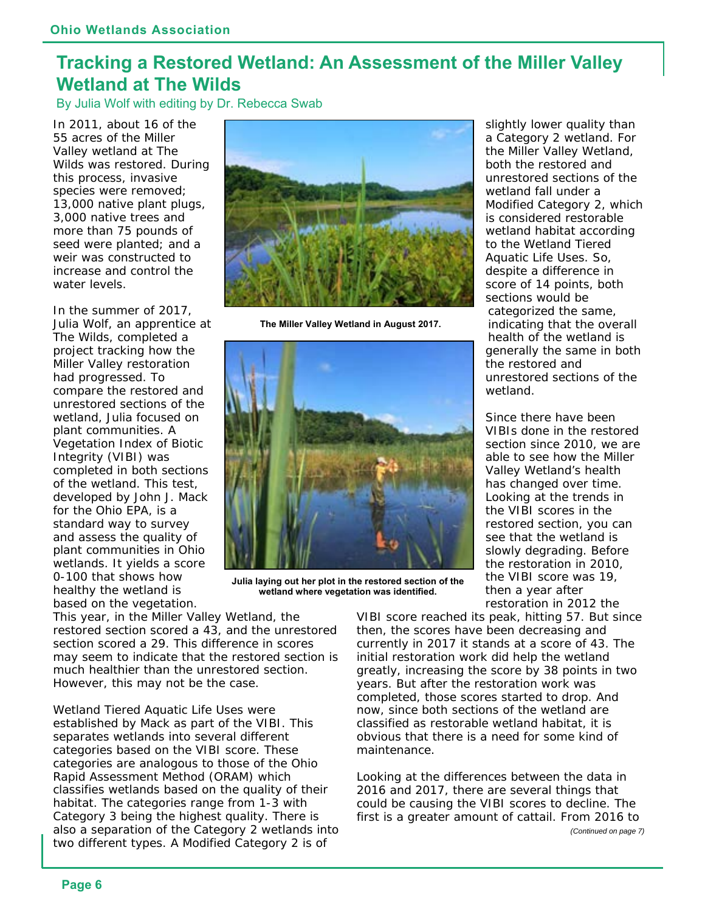# **Tracking a Restored Wetland: An Assessment of the Miller Valley Wetland at The Wilds**

By Julia Wolf with editing by Dr. Rebecca Swab

In 2011, about 16 of the 55 acres of the Miller Valley wetland at The Wilds was restored. During this process, invasive species were removed; 13,000 native plant plugs, 3,000 native trees and more than 75 pounds of seed were planted; and a weir was constructed to increase and control the water levels.

In the summer of 2017, Julia Wolf, an apprentice at The Wilds, completed a project tracking how the Miller Valley restoration had progressed. To compare the restored and unrestored sections of the wetland, Julia focused on plant communities. A Vegetation Index of Biotic Integrity (VIBI) was completed in both sections of the wetland. This test, developed by John J. Mack for the Ohio EPA, is a standard way to survey and assess the quality of plant communities in Ohio wetlands. It yields a score 0-100 that shows how healthy the wetland is based on the vegetation.



**The Miller Valley Wetland in August 2017.** 



**Julia laying out her plot in the restored section of the wetland where vegetation was identified.** 

This year, in the Miller Valley Wetland, the restored section scored a 43, and the unrestored section scored a 29. This difference in scores may seem to indicate that the restored section is much healthier than the unrestored section. However, this may not be the case.

Wetland Tiered Aquatic Life Uses were established by Mack as part of the VIBI. This separates wetlands into several different categories based on the VIBI score. These categories are analogous to those of the Ohio Rapid Assessment Method (ORAM) which classifies wetlands based on the quality of their habitat. The categories range from 1-3 with Category 3 being the highest quality. There is also a separation of the Category 2 wetlands into two different types. A Modified Category 2 is of

slightly lower quality than a Category 2 wetland. For the Miller Valley Wetland, both the restored and unrestored sections of the wetland fall under a Modified Category 2, which is considered restorable wetland habitat according to the Wetland Tiered Aquatic Life Uses. So, despite a difference in score of 14 points, both sections would be categorized the same, indicating that the overall health of the wetland is generally the same in both the restored and unrestored sections of the wetland.

Since there have been VIBIs done in the restored section since 2010, we are able to see how the Miller Valley Wetland's health has changed over time. Looking at the trends in the VIBI scores in the restored section, you can see that the wetland is slowly degrading. Before the restoration in 2010, the VIBI score was 19, then a year after restoration in 2012 the

VIBI score reached its peak, hitting 57. But since then, the scores have been decreasing and currently in 2017 it stands at a score of 43. The initial restoration work did help the wetland greatly, increasing the score by 38 points in two years. But after the restoration work was completed, those scores started to drop. And now, since both sections of the wetland are classified as restorable wetland habitat, it is obvious that there is a need for some kind of maintenance.

Looking at the differences between the data in 2016 and 2017, there are several things that could be causing the VIBI scores to decline. The first is a greater amount of cattail. From 2016 to *(Continued on page 7)*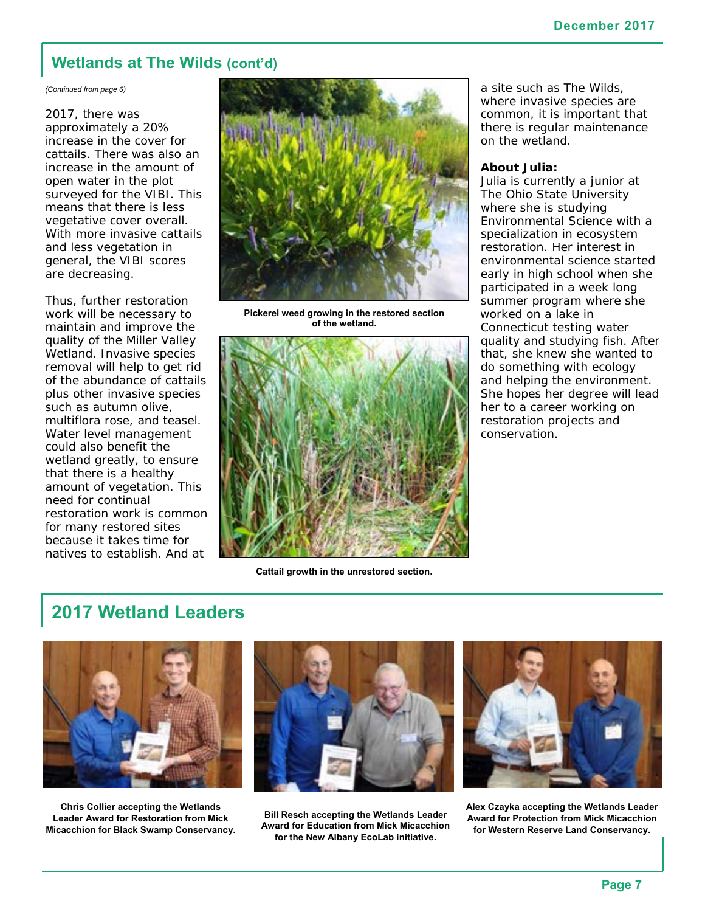## **Wetlands at The Wilds (cont'd)**

*(Continued from page 6)* 

2017, there was approximately a 20% increase in the cover for cattails. There was also an increase in the amount of open water in the plot surveyed for the VIBI. This means that there is less vegetative cover overall. With more invasive cattails and less vegetation in general, the VIBI scores are decreasing.

Thus, further restoration work will be necessary to maintain and improve the quality of the Miller Valley Wetland. Invasive species removal will help to get rid of the abundance of cattails plus other invasive species such as autumn olive, multiflora rose, and teasel. Water level management could also benefit the wetland greatly, to ensure that there is a healthy amount of vegetation. This need for continual restoration work is common for many restored sites because it takes time for natives to establish. And at



**Pickerel weed growing in the restored section of the wetland.** 



**Cattail growth in the unrestored section.** 

a site such as The Wilds, where invasive species are common, it is important that there is regular maintenance on the wetland.

#### **About Julia:**

Julia is currently a junior at The Ohio State University where she is studying Environmental Science with a specialization in ecosystem restoration. Her interest in environmental science started early in high school when she participated in a week long summer program where she worked on a lake in Connecticut testing water quality and studying fish. After that, she knew she wanted to do something with ecology and helping the environment. She hopes her degree will lead her to a career working on restoration projects and conservation.

# **2017 Wetland Leaders**



**Chris Collier accepting the Wetlands Leader Award for Restoration from Mick Micacchion for Black Swamp Conservancy.** 



**Bill Resch accepting the Wetlands Leader Award for Education from Mick Micacchion for the New Albany EcoLab initiative.** 



**Alex Czayka accepting the Wetlands Leader Award for Protection from Mick Micacchion for Western Reserve Land Conservancy.**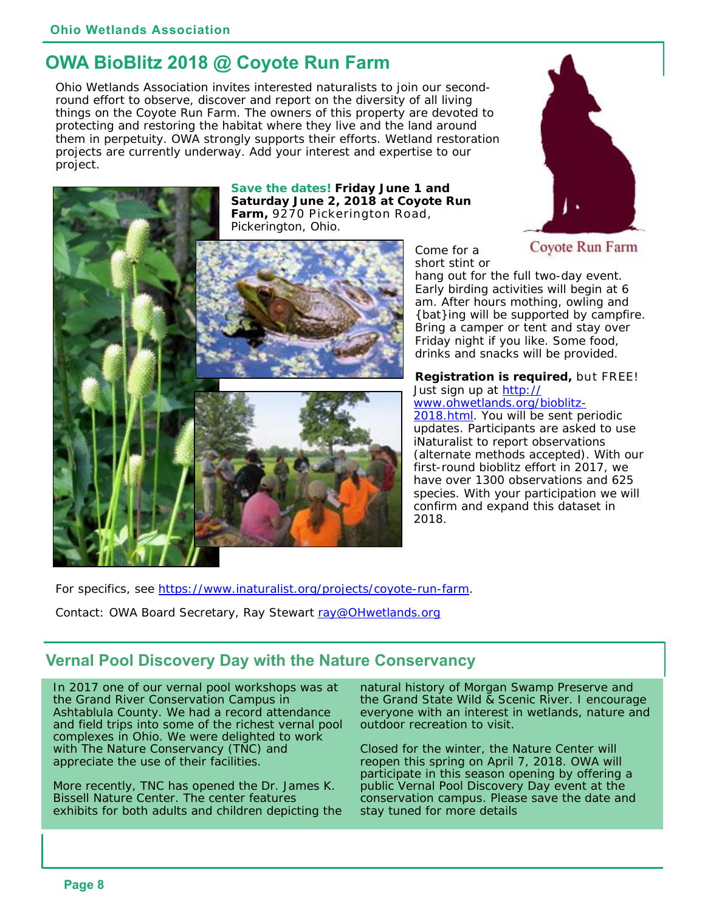# **OWA BioBlitz 2018 @ Coyote Run Farm**

Ohio Wetlands Association invites interested naturalists to join our secondround effort to observe, discover and report on the diversity of all living things on the Coyote Run Farm. The owners of this property are devoted to protecting and restoring the habitat where they live and the land around them in perpetuity. OWA strongly supports their efforts. Wetland restoration projects are currently underway. Add your interest and expertise to our project.

> **Save the dates! Friday June 1 and Saturday June 2, 2018 at Coyote Run Farm,** 9270 Pickerington Road, Pickerington, Ohio.





Come for a short stint or

hang out for the full two-day event. Early birding activities will begin at 6 am. After hours mothing, owling and {bat}ing will be supported by campfire. Bring a camper or tent and stay over Friday night if you like. Some food, drinks and snacks will be provided.

#### **Registration is required,** but FREE! Just sign up at [http://](http://www.ohwetlands.org/bioblitz-2018.html) [www.ohwetlands.org/bioblitz-](http://www.ohwetlands.org/bioblitz-2018.html)

[2018.html. Yo](http://www.ohwetlands.org/bioblitz-2018.html)u will be sent periodic updates. Participants are asked to use iNaturalist to report observations (alternate methods accepted). With our first-round bioblitz effort in 2017, we have over 1300 observations and 625 species. With your participation we will confirm and expand this dataset in 2018.

For specifics, see [https://www.inaturalist.org/projects/coyote-run-farm.](https://www.inaturalist.org/projects/coyote-run-farm) 

Contact: OWA Board Secretary, Ray Stewart ray@OHwetlands.org

# **Vernal Pool Discovery Day with the Nature Conservancy**

In 2017 one of our vernal pool workshops was at the Grand River Conservation Campus in Ashtablula County. We had a record attendance and field trips into some of the richest vernal pool complexes in Ohio. We were delighted to work with The Nature Conservancy (TNC) and appreciate the use of their facilities.

More recently, TNC has opened the Dr. James K. Bissell Nature Center. The center features exhibits for both adults and children depicting the natural history of Morgan Swamp Preserve and the Grand State Wild & Scenic River. I encourage everyone with an interest in wetlands, nature and outdoor recreation to visit.

Closed for the winter, the Nature Center will reopen this spring on April 7, 2018. OWA will participate in this season opening by offering a public Vernal Pool Discovery Day event at the conservation campus. Please save the date and stay tuned for more details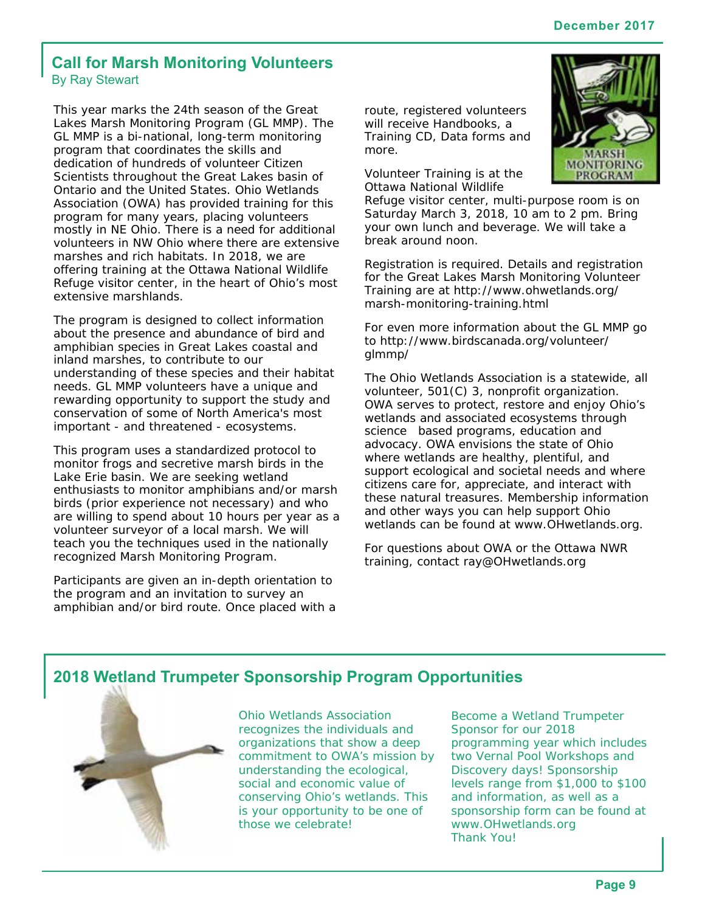## **Call for Marsh Monitoring Volunteers**  By Ray Stewart

This year marks the 24th season of the Great Lakes Marsh Monitoring Program (GL MMP). The GL MMP is a bi-national, long-term monitoring program that coordinates the skills and dedication of hundreds of volunteer Citizen Scientists throughout the Great Lakes basin of Ontario and the United States. Ohio Wetlands Association (OWA) has provided training for this program for many years, placing volunteers mostly in NE Ohio. There is a need for additional volunteers in NW Ohio where there are extensive marshes and rich habitats. In 2018, we are offering training at the Ottawa National Wildlife Refuge visitor center, in the heart of Ohio's most extensive marshlands.

The program is designed to collect information about the presence and abundance of bird and amphibian species in Great Lakes coastal and inland marshes, to contribute to our understanding of these species and their habitat needs. GL MMP volunteers have a unique and rewarding opportunity to support the study and conservation of some of North America's most important - and threatened - ecosystems.

This program uses a standardized protocol to monitor frogs and secretive marsh birds in the Lake Erie basin. We are seeking wetland enthusiasts to monitor amphibians and/or marsh birds (prior experience not necessary) and who are willing to spend about 10 hours per year as a volunteer surveyor of a local marsh. We will teach you the techniques used in the nationally recognized Marsh Monitoring Program.

Participants are given an in-depth orientation to the program and an invitation to survey an amphibian and/or bird route. Once placed with a route, registered volunteers will receive Handbooks, a Training CD, Data forms and more.

Volunteer Training is at the Ottawa National Wildlife



Refuge visitor center, multi-purpose room is on Saturday March 3, 2018, 10 am to 2 pm. Bring your own lunch and beverage. We will take a break around noon.

Registration is required. Details and registration for the Great Lakes Marsh Monitoring Volunteer Training are at<http://www.ohwetlands.org/> marsh-monitoring-training.html

For even more information about the GL MMP go to<http://www.birdscanada.org/volunteer/> glmmp/

The Ohio Wetlands Association is a statewide, all volunteer, 501(C) 3, nonprofit organization. OWA serves to protect, restore and enjoy Ohio's wetlands and associated ecosystems through science based programs, education and advocacy. OWA envisions the state of Ohio where wetlands are healthy, plentiful, and support ecological and societal needs and where citizens care for, appreciate, and interact with these natural treasures. Membership information and other ways you can help support Ohio wetlands can be found at [www.OHwetlands.org.](http://www.OHwetlands.org) 

For questions about OWA or the Ottawa NWR training, contact [ray@OHwetlands.org](mailto:ray@OHwetlands.org) 

## **2018 Wetland Trumpeter Sponsorship Program Opportunities**



Ohio Wetlands Association recognizes the individuals and organizations that show a deep commitment to OWA's mission by understanding the ecological, social and economic value of conserving Ohio's wetlands. This is your opportunity to be one of those we celebrate!

Become a Wetland Trumpeter Sponsor for our 2018 programming year which includes two Vernal Pool Workshops and Discovery days! Sponsorship levels range from \$1,000 to \$100 and information, as well as a sponsorship form can be found at [www.OHwetlands.org](http://www.OHwetlands.org)  Thank You!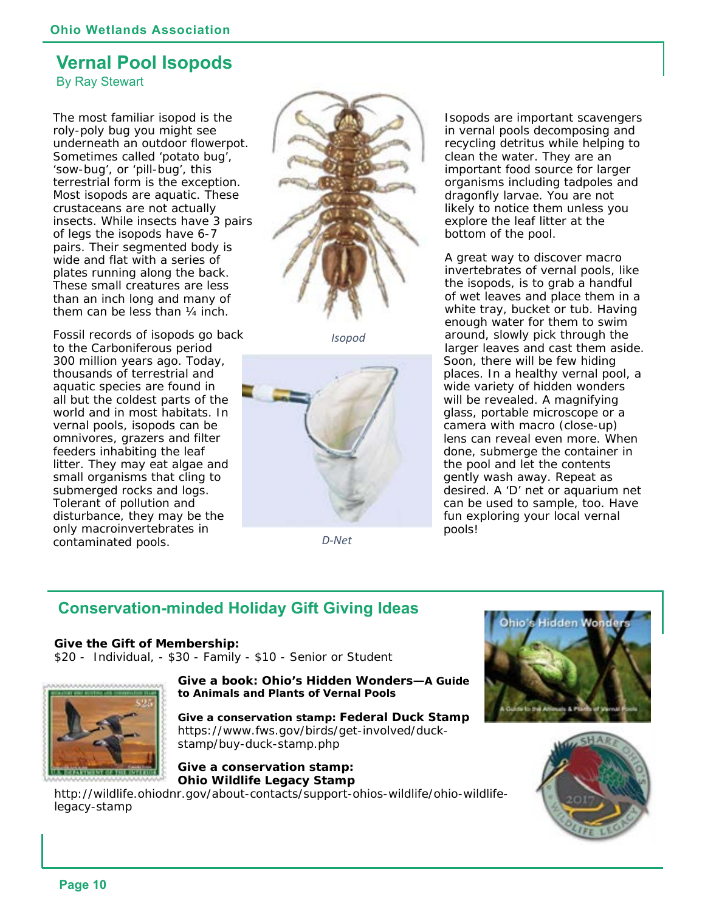# **Vernal Pool Isopods**

By Ray Stewart

The most familiar isopod is the roly-poly bug you might see underneath an outdoor flowerpot. Sometimes called 'potato bug', 'sow-bug', or 'pill-bug', this terrestrial form is the exception. Most isopods are aquatic. These crustaceans are not actually insects. While insects have 3 pairs of legs the isopods have 6-7 pairs. Their segmented body is wide and flat with a series of plates running along the back. These small creatures are less than an inch long and many of them can be less than ¼ inch.

Fossil records of isopods go back to the Carboniferous period 300 million years ago. Today, thousands of terrestrial and aquatic species are found in all but the coldest parts of the world and in most habitats. In vernal pools, isopods can be omnivores, grazers and filter feeders inhabiting the leaf litter. They may eat algae and small organisms that cling to submerged rocks and logs. Tolerant of pollution and disturbance, they may be the only macroinvertebrates in contaminated pools.



*Isopod*



*D‐Net*

Isopods are important scavengers in vernal pools decomposing and recycling detritus while helping to clean the water. They are an important food source for larger organisms including tadpoles and dragonfly larvae. You are not likely to notice them unless you explore the leaf litter at the bottom of the pool.

A great way to discover macro invertebrates of vernal pools, like the isopods, is to grab a handful of wet leaves and place them in a white tray, bucket or tub. Having enough water for them to swim around, slowly pick through the larger leaves and cast them aside. Soon, there will be few hiding places. In a healthy vernal pool, a wide variety of hidden wonders will be revealed. A magnifying glass, portable microscope or a camera with macro (close-up) lens can reveal even more. When done, submerge the container in the pool and let the contents gently wash away. Repeat as desired. A 'D' net or aquarium net can be used to sample, too. Have fun exploring your local vernal pools!

# **Conservation-minded Holiday Gift Giving Ideas**

**Give the Gift of Membership:**  \$20 - Individual, - \$30 - Family - \$10 - Senior or Student



**Give a book:** *Ohio's Hidden Wonders—A Guide to Animals and Plants of Vernal Pools* 

**Give a conservation stamp: Federal Duck Stamp**  [https://www.fws.gov/birds/get-involved/duck](https://www.fws.gov/birds/get-involved/duck-stamp/buy-duck-stamp.php)stamp[/buy-duck-stamp.php](https://www.fws.gov/birds/get-involved/duck-stamp/buy-duck-stamp.php) 

#### **Give a conservation stamp: Ohio Wildlife Legacy Stamp**

[http://wildlife.ohiodnr.gov/about-contacts/support-ohios-wildlife/ohio-wildlife](http://wildlife.ohiodnr.gov/about-contacts/support-ohios-wildlife/ohio-wildlife-legacy-stamp)legacy-[stamp](http://wildlife.ohiodnr.gov/about-contacts/support-ohios-wildlife/ohio-wildlife-legacy-stamp) 



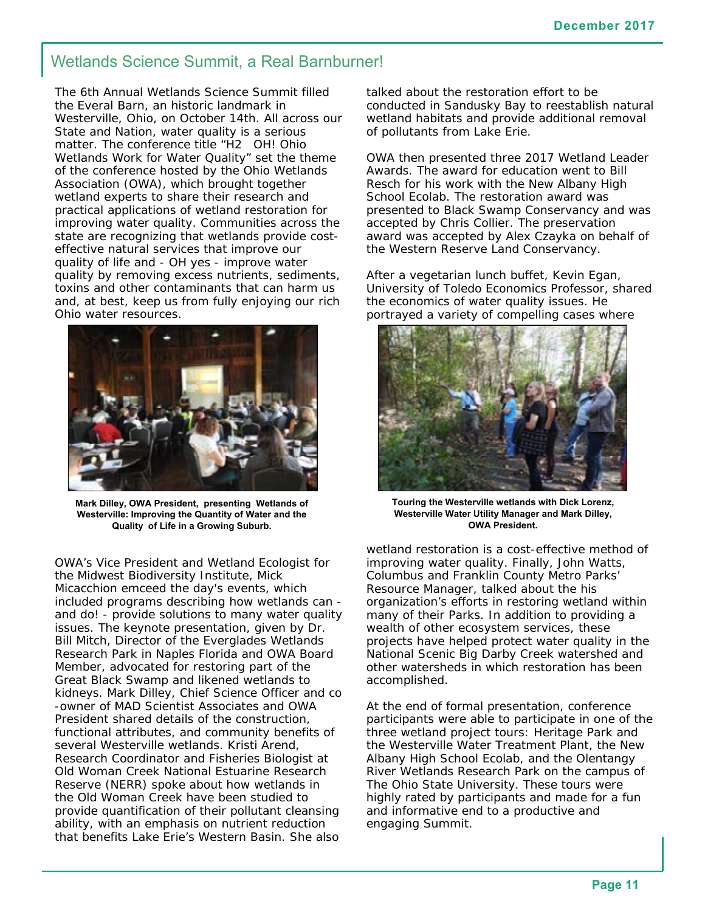## Wetlands Science Summit, a Real Barnburner!

The 6th Annual Wetlands Science Summit filled the Everal Barn, an historic landmark in Westerville, Ohio, on October 14th. All across our State and Nation, water quality is a serious matter. The conference title "H2 OH! Ohio Wetlands Work for Water Quality" set the theme of the conference hosted by the Ohio Wetlands Association (OWA), which brought together wetland experts to share their research and practical applications of wetland restoration for improving water quality. Communities across the state are recognizing that wetlands provide costeffective natural services that improve our quality of life and - OH yes - improve water quality by removing excess nutrients, sediments, toxins and other contaminants that can harm us and, at best, keep us from fully enjoying our rich Ohio water resources.



**Mark Dilley, OWA President, presenting Wetlands of Westerville: Improving the Quantity of Water and the Quality of Life in a Growing Suburb.** 

OWA's Vice President and Wetland Ecologist for the Midwest Biodiversity Institute, Mick Micacchion emceed the day's events, which included programs describing how wetlands can and do! - provide solutions to many water quality issues. The keynote presentation, given by Dr. Bill Mitch, Director of the Everglades Wetlands Research Park in Naples Florida and OWA Board Member, advocated for restoring part of the Great Black Swamp and likened wetlands to kidneys. Mark Dilley, Chief Science Officer and co -owner of MAD Scientist Associates and OWA President shared details of the construction, functional attributes, and community benefits of several Westerville wetlands. Kristi Arend, Research Coordinator and Fisheries Biologist at Old Woman Creek National Estuarine Research Reserve (NERR) spoke about how wetlands in the Old Woman Creek have been studied to provide quantification of their pollutant cleansing ability, with an emphasis on nutrient reduction that benefits Lake Erie's Western Basin. She also

talked about the restoration effort to be conducted in Sandusky Bay to reestablish natural wetland habitats and provide additional removal of pollutants from Lake Erie.

OWA then presented three 2017 Wetland Leader Awards. The award for education went to Bill Resch for his work with the New Albany High School Ecolab. The restoration award was presented to Black Swamp Conservancy and was accepted by Chris Collier. The preservation award was accepted by Alex Czayka on behalf of the Western Reserve Land Conservancy.

After a vegetarian lunch buffet, Kevin Egan, University of Toledo Economics Professor, shared the economics of water quality issues. He portrayed a variety of compelling cases where



**Touring the Westerville wetlands with Dick Lorenz, Westerville Water Utility Manager and Mark Dilley, OWA President.** 

wetland restoration is a cost-effective method of improving water quality. Finally, John Watts, Columbus and Franklin County Metro Parks' Resource Manager, talked about the his organization's efforts in restoring wetland within many of their Parks. In addition to providing a wealth of other ecosystem services, these projects have helped protect water quality in the National Scenic Big Darby Creek watershed and other watersheds in which restoration has been accomplished.

At the end of formal presentation, conference participants were able to participate in one of the three wetland project tours: Heritage Park and the Westerville Water Treatment Plant, the New Albany High School Ecolab, and the Olentangy River Wetlands Research Park on the campus of The Ohio State University. These tours were highly rated by participants and made for a fun and informative end to a productive and engaging Summit.